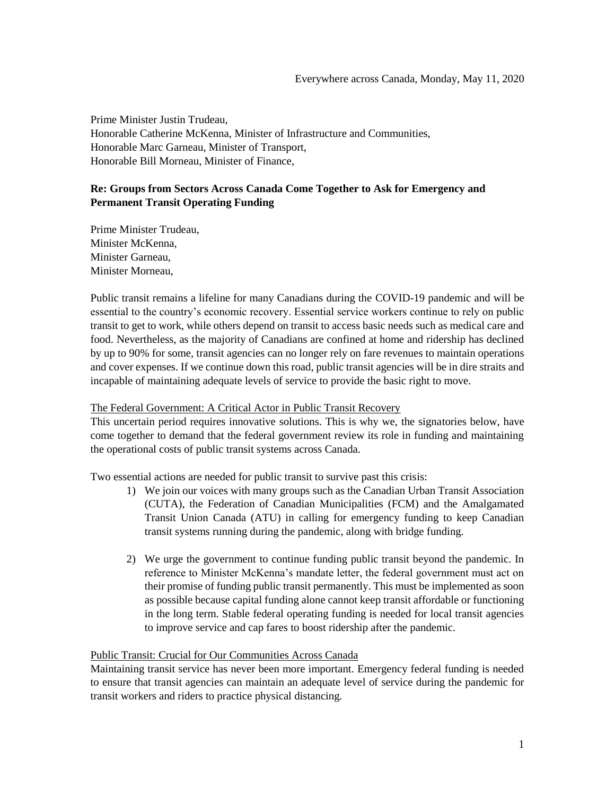Prime Minister Justin Trudeau, Honorable Catherine McKenna, Minister of Infrastructure and Communities, Honorable Marc Garneau, Minister of Transport, Honorable Bill Morneau, Minister of Finance,

# **Re: Groups from Sectors Across Canada Come Together to Ask for Emergency and Permanent Transit Operating Funding**

Prime Minister Trudeau, Minister McKenna, Minister Garneau, Minister Morneau,

Public transit remains a lifeline for many Canadians during the COVID-19 pandemic and will be essential to the country's economic recovery. Essential service workers continue to rely on public transit to get to work, while others depend on transit to access basic needs such as medical care and food. Nevertheless, as the majority of Canadians are confined at home and ridership has declined by up to 90% for some, transit agencies can no longer rely on fare revenues to maintain operations and cover expenses. If we continue down this road, public transit agencies will be in dire straits and incapable of maintaining adequate levels of service to provide the basic right to move.

## The Federal Government: A Critical Actor in Public Transit Recovery

This uncertain period requires innovative solutions. This is why we, the signatories below, have come together to demand that the federal government review its role in funding and maintaining the operational costs of public transit systems across Canada.

Two essential actions are needed for public transit to survive past this crisis:

- 1) We join our voices with many groups such as the Canadian Urban Transit Association (CUTA), the Federation of Canadian Municipalities (FCM) and the Amalgamated Transit Union Canada (ATU) in calling for emergency funding to keep Canadian transit systems running during the pandemic, along with bridge funding.
- 2) We urge the government to continue funding public transit beyond the pandemic. In reference to Minister McKenna's mandate letter, the federal government must act on their promise of funding public transit permanently. This must be implemented as soon as possible because capital funding alone cannot keep transit affordable or functioning in the long term. Stable federal operating funding is needed for local transit agencies to improve service and cap fares to boost ridership after the pandemic.

## Public Transit: Crucial for Our Communities Across Canada

Maintaining transit service has never been more important. Emergency federal funding is needed to ensure that transit agencies can maintain an adequate level of service during the pandemic for transit workers and riders to practice physical distancing.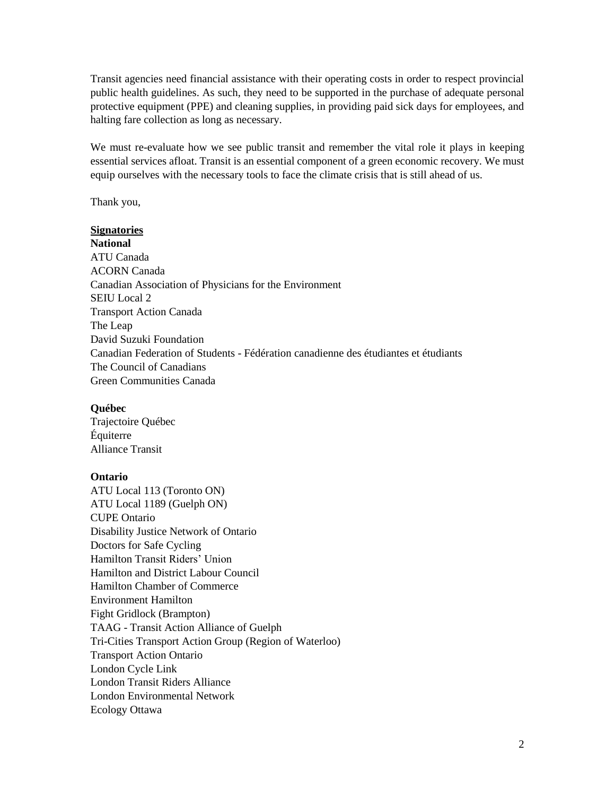Transit agencies need financial assistance with their operating costs in order to respect provincial public health guidelines. As such, they need to be supported in the purchase of adequate personal protective equipment (PPE) and cleaning supplies, in providing paid sick days for employees, and halting fare collection as long as necessary.

We must re-evaluate how we see public transit and remember the vital role it plays in keeping essential services afloat. Transit is an essential component of a green economic recovery. We must equip ourselves with the necessary tools to face the climate crisis that is still ahead of us.

Thank you,

# **Signatories**

**National** ATU Canada ACORN Canada Canadian Association of Physicians for the Environment SEIU Local 2 Transport Action Canada The Leap David Suzuki Foundation Canadian Federation of Students - Fédération canadienne des étudiantes et étudiants The Council of Canadians Green Communities Canada

#### **Québec**

Trajectoire Québec Équiterre Alliance Transit

#### **Ontario**

ATU Local 113 (Toronto ON) ATU Local 1189 (Guelph ON) CUPE Ontario Disability Justice Network of Ontario Doctors for Safe Cycling Hamilton Transit Riders' Union Hamilton and District Labour Council Hamilton Chamber of Commerce Environment Hamilton Fight Gridlock (Brampton) TAAG - Transit Action Alliance of Guelph Tri-Cities Transport Action Group (Region of Waterloo) Transport Action Ontario London Cycle Link London Transit Riders Alliance London Environmental Network Ecology Ottawa